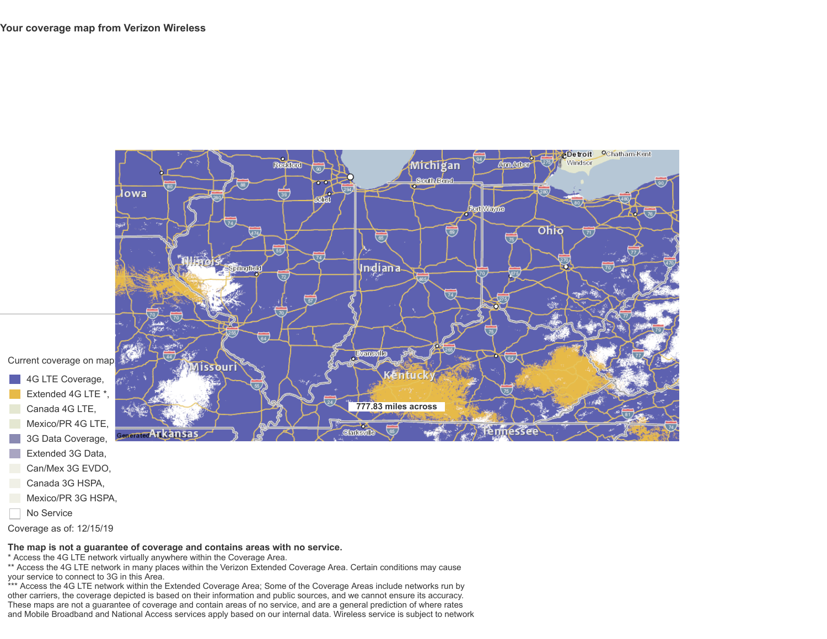

- 4G LTE Coverage ,
- Extended 4G LTE \* ,
- Canada 4G LTE ,
- Mexico/PR 4G LTE ,
- 3G Data Coverage ,
- Extended 3G Data ,
- Can/Mex 3G EVDO ,
- Canada 3G HSPA ,
- Mexico/PR 3G HSPA ,
- No Service

Coverage as of: 12/15/19

## **The map is not a guarantee of coverage and contains areas with no service.**

\* Access the 4G LTE network virtually anywhere within the Coverage Area.

\*\* Access the 4G LTE network in many places within the Verizon Extended Coverage Area. Certain conditions may cause your service to connect to 3G in this Area.

\*\*\* Access the 4G LTE network within the Extended Coverage Area; Some of the Coverage Areas include networks run by other carriers, the coverage depicted is based on their information and public sources, and we cannot ensure its accuracy. These maps are not a guarantee of coverage and contain areas of no service, and are a general prediction of where rates and Mobile Broadband and National Access services apply based on our internal data. Wireless service is subject to network